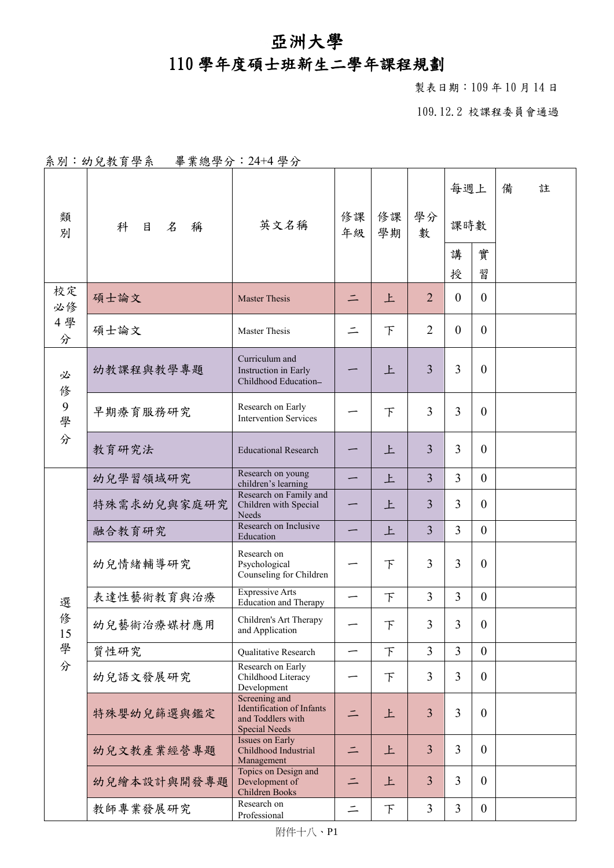## 亞洲大學

## 110 學年度碩士班新生二學年課程規劃

製表日期:109 年 10 月 14 日

109.12.2 校課程委員會通過

|  | 系別:幼兒教育學系 | 畢業總學分: 24+4學分 |  |
|--|-----------|---------------|--|
|--|-----------|---------------|--|

| 類<br>別                | 名<br>科<br>目<br>稱 | 英文名稱                                                                             | 修課<br>年級 | 修課<br>學期 | 學分<br>數        | 每週上<br>課時數     |                  | 備 | 註 |
|-----------------------|------------------|----------------------------------------------------------------------------------|----------|----------|----------------|----------------|------------------|---|---|
|                       |                  |                                                                                  |          |          |                | 講<br>授         | 實<br>習           |   |   |
| 校定<br>必修<br>4學<br>分   | 碩士論文             | <b>Master Thesis</b>                                                             | $\equiv$ | 上        | $\overline{2}$ | $\theta$       | $\overline{0}$   |   |   |
|                       | 碩士論文             | <b>Master Thesis</b>                                                             |          | $\top$   | $\overline{2}$ | $\mathbf{0}$   | $\overline{0}$   |   |   |
| 必<br>俢<br>9<br>學<br>分 | 幼教課程與教學專題        | Curriculum and<br>Instruction in Early<br>Childhood Education-                   |          | 上        | $\overline{3}$ | $\overline{3}$ | $\mathbf{0}$     |   |   |
|                       | 早期療育服務研究         | Research on Early<br><b>Intervention Services</b>                                |          | $\top$   | 3              | $\overline{3}$ | $\overline{0}$   |   |   |
|                       | 教育研究法            | <b>Educational Research</b>                                                      |          | 上        | $\overline{3}$ | $\overline{3}$ | $\theta$         |   |   |
|                       | 幼兒學習領域研究         | Research on young<br>children's learning                                         |          | 上        | $\overline{3}$ | $\overline{3}$ | $\overline{0}$   |   |   |
|                       | 特殊需求幼兒與家庭研究      | Research on Family and<br>Children with Special<br>Needs                         |          | 上        | 3              | 3              | $\overline{0}$   |   |   |
|                       | 融合教育研究           | Research on Inclusive<br>Education                                               |          | 上        | $\overline{3}$ | 3              | $\overline{0}$   |   |   |
|                       | 幼兒情緒輔導研究         | Research on<br>Psychological<br>Counseling for Children                          |          | F        | 3              | 3              | $\mathbf{0}$     |   |   |
| 選                     | 表達性藝術教育與治療       | <b>Expressive Arts</b><br>Education and Therapy                                  |          | 下        | $\overline{3}$ | $\overline{3}$ | $\overline{0}$   |   |   |
| 俢<br>15<br>學<br>分     | 幼兒藝術治療媒材應用       | Children's Art Therapy<br>and Application                                        |          | 下        | 3              | $\overline{3}$ | $\boldsymbol{0}$ |   |   |
|                       | 質性研究             | Qualitative Research                                                             | —        | $\top$   | $\overline{3}$ | $\overline{3}$ | $\overline{0}$   |   |   |
|                       | 幼兒語文發展研究         | Research on Early<br>Childhood Literacy<br>Development                           |          | $\top$   | 3              | 3              | $\overline{0}$   |   |   |
|                       | 特殊嬰幼兒篩選與鑑定       | Screening and<br>Identification of Infants<br>and Toddlers with<br>Special Needs |          | 上        | $\overline{3}$ | $\overline{3}$ | $\overline{0}$   |   |   |
|                       | 幼兒文教產業經營專題       | <b>Issues on Early</b><br>Childhood Industrial<br>Management                     | $\equiv$ | 上        | $\overline{3}$ | 3              | $\overline{0}$   |   |   |
|                       | 幼兒繪本設計與開發專題      | Topics on Design and<br>Development of<br>Children Books                         | $\equiv$ | 上        | $\overline{3}$ | $\overline{3}$ | $\overline{0}$   |   |   |
|                       | 教師專業發展研究         | Research on<br>Professional                                                      | $\equiv$ | $\top$   | $\overline{3}$ | $\overline{3}$ | $\overline{0}$   |   |   |